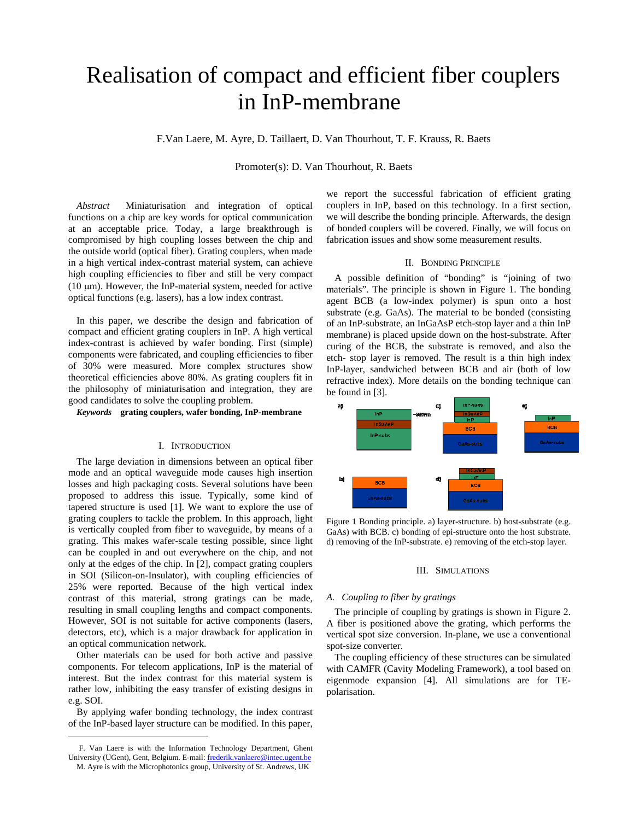# Realisation of compact and efficient fiber couplers in InP-membrane

F.Van Laere, M. Ayre, D. Taillaert, D. Van Thourhout, T. F. Krauss, R. Baets

Promoter(s): D. Van Thourhout, R. Baets

*Abstract* Miniaturisation and integration of optical functions on a chip are key words for optical communication at an acceptable price. Today, a large breakthrough is compromised by high coupling losses between the chip and the outside world (optical fiber). Grating couplers, when made in a high vertical index-contrast material system, can achieve high coupling efficiencies to fiber and still be very compact ( $10 \mu m$ ). However, the InP-material system, needed for active optical functions (e.g. lasers), has a low index contrast.

In this paper, we describe the design and fabrication of compact and efficient grating couplers in InP. A high vertical index-contrast is achieved by wafer bonding. First (simple) components were fabricated, and coupling efficiencies to fiber of 30% were measured. More complex structures show theoretical efficiencies above 80%. As grating couplers fit in the philosophy of miniaturisation and integration, they are good candidates to solve the coupling problem.

*Keywords* **grating couplers, wafer bonding, InP-membrane** 

# I. INTRODUCTION

The large deviation in dimensions between an optical fiber mode and an optical waveguide mode causes high insertion losses and high packaging costs. Several solutions have been proposed to address this issue. Typically, some kind of tapered structure is used [1]. We want to explore the use of grating couplers to tackle the problem. In this approach, light is vertically coupled from fiber to waveguide, by means of a grating. This makes wafer-scale testing possible, since light can be coupled in and out everywhere on the chip, and not only at the edges of the chip. In [2], compact grating couplers in SOI (Silicon-on-Insulator), with coupling efficiencies of 25% were reported. Because of the high vertical index contrast of this material, strong gratings can be made, resulting in small coupling lengths and compact components. However, SOI is not suitable for active components (lasers, detectors, etc), which is a major drawback for application in an optical communication network.

Other materials can be used for both active and passive components. For telecom applications, InP is the material of interest. But the index contrast for this material system is rather low, inhibiting the easy transfer of existing designs in e.g. SOI.

By applying wafer bonding technology, the index contrast of the InP-based layer structure can be modified. In this paper,

l

we report the successful fabrication of efficient grating couplers in InP, based on this technology. In a first section, we will describe the bonding principle. Afterwards, the design of bonded couplers will be covered. Finally, we will focus on fabrication issues and show some measurement results.

## II. BONDING PRINCIPLE

A possible definition of "bonding" is "joining of two materials". The principle is shown in Figure 1. The bonding agent BCB (a low-index polymer) is spun onto a host substrate (e.g. GaAs). The material to be bonded (consisting of an InP-substrate, an InGaAsP etch-stop layer and a thin InP membrane) is placed upside down on the host-substrate. After curing of the BCB, the substrate is removed, and also the etch- stop layer is removed. The result is a thin high index InP-layer, sandwiched between BCB and air (both of low refractive index). More details on the bonding technique can be found in [3].



Figure 1 Bonding principle. a) layer-structure. b) host-substrate (e.g. GaAs) with BCB. c) bonding of epi-structure onto the host substrate. d) removing of the InP-substrate. e) removing of the etch-stop layer.

### III. SIMULATIONS

#### *A. Coupling to fiber by gratings*

The principle of coupling by gratings is shown in Figure 2. A fiber is positioned above the grating, which performs the vertical spot size conversion. In-plane, we use a conventional spot-size converter.

The coupling efficiency of these structures can be simulated with CAMFR (Cavity Modeling Framework), a tool based on eigenmode expansion [4]. All simulations are for TEpolarisation.

F. Van Laere is with the Information Technology Department, Ghent University (UGent), Gent, Belgium. E-mail: frederik.vanlaere@intec.ugent.be M. Ayre is with the Microphotonics group, University of St. Andrews, UK